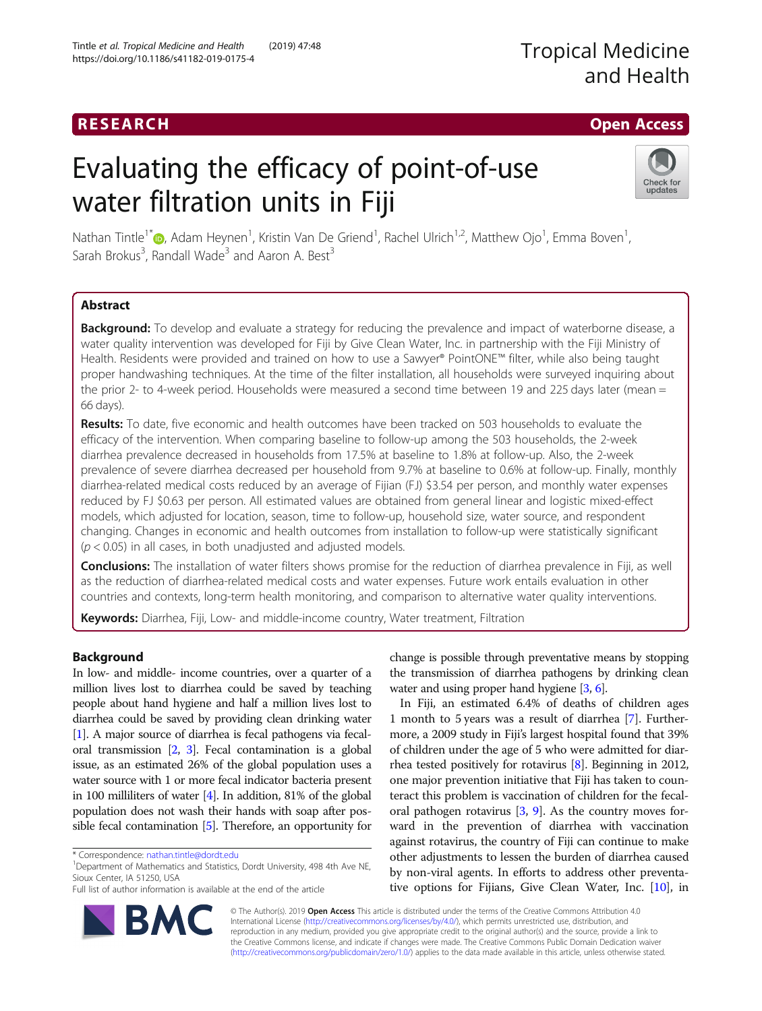## **RESEARCH CHING ACCESS CHING ACCESS**

# Evaluating the efficacy of point-of-use water filtration units in Fiji



Nathan Tintle<sup>1\*</sup>�[,](http://orcid.org/0000-0003-1447-9107) Adam Heynen<sup>1</sup>, Kristin Van De Griend<sup>1</sup>, Rachel Ulrich<sup>1,2</sup>, Matthew Ojo<sup>1</sup>, Emma Boven<sup>1</sup> , Sarah Brokus<sup>3</sup>, Randall Wade<sup>3</sup> and Aaron A. Best<sup>3</sup>

## Abstract

**Background:** To develop and evaluate a strategy for reducing the prevalence and impact of waterborne disease, a water quality intervention was developed for Fiji by Give Clean Water, Inc. in partnership with the Fiji Ministry of Health. Residents were provided and trained on how to use a Sawyer® PointONE™ filter, while also being taught proper handwashing techniques. At the time of the filter installation, all households were surveyed inquiring about the prior 2- to 4-week period. Households were measured a second time between 19 and 225 days later (mean = 66 days).

Results: To date, five economic and health outcomes have been tracked on 503 households to evaluate the efficacy of the intervention. When comparing baseline to follow-up among the 503 households, the 2-week diarrhea prevalence decreased in households from 17.5% at baseline to 1.8% at follow-up. Also, the 2-week prevalence of severe diarrhea decreased per household from 9.7% at baseline to 0.6% at follow-up. Finally, monthly diarrhea-related medical costs reduced by an average of Fijian (FJ) \$3.54 per person, and monthly water expenses reduced by FJ \$0.63 per person. All estimated values are obtained from general linear and logistic mixed-effect models, which adjusted for location, season, time to follow-up, household size, water source, and respondent changing. Changes in economic and health outcomes from installation to follow-up were statistically significant  $(p < 0.05)$  in all cases, in both unadjusted and adjusted models.

**Conclusions:** The installation of water filters shows promise for the reduction of diarrhea prevalence in Fiji, as well as the reduction of diarrhea-related medical costs and water expenses. Future work entails evaluation in other countries and contexts, long-term health monitoring, and comparison to alternative water quality interventions.

Keywords: Diarrhea, Fiji, Low- and middle-income country, Water treatment, Filtration

## Background

In low- and middle- income countries, over a quarter of a million lives lost to diarrhea could be saved by teaching people about hand hygiene and half a million lives lost to diarrhea could be saved by providing clean drinking water [[1](#page-6-0)]. A major source of diarrhea is fecal pathogens via fecaloral transmission [\[2,](#page-6-0) [3](#page-6-0)]. Fecal contamination is a global issue, as an estimated 26% of the global population uses a water source with 1 or more fecal indicator bacteria present in 100 milliliters of water [[4](#page-6-0)]. In addition, 81% of the global population does not wash their hands with soap after possible fecal contamination [\[5\]](#page-6-0). Therefore, an opportunity for

<sup>1</sup>Department of Mathematics and Statistics, Dordt University, 498 4th Ave NE, Sioux Center, IA 51250, USA



In Fiji, an estimated 6.4% of deaths of children ages 1 month to 5 years was a result of diarrhea [\[7](#page-6-0)]. Furthermore, a 2009 study in Fiji's largest hospital found that 39% of children under the age of 5 who were admitted for diarrhea tested positively for rotavirus [\[8](#page-6-0)]. Beginning in 2012, one major prevention initiative that Fiji has taken to counteract this problem is vaccination of children for the fecaloral pathogen rotavirus  $[3, 9]$  $[3, 9]$  $[3, 9]$  $[3, 9]$ . As the country moves forward in the prevention of diarrhea with vaccination against rotavirus, the country of Fiji can continue to make other adjustments to lessen the burden of diarrhea caused by non-viral agents. In efforts to address other preventative options for Fijians, Give Clean Water, Inc. [\[10\]](#page-6-0), in



© The Author(s). 2019 Open Access This article is distributed under the terms of the Creative Commons Attribution 4.0 International License [\(http://creativecommons.org/licenses/by/4.0/](http://creativecommons.org/licenses/by/4.0/)), which permits unrestricted use, distribution, and reproduction in any medium, provided you give appropriate credit to the original author(s) and the source, provide a link to the Creative Commons license, and indicate if changes were made. The Creative Commons Public Domain Dedication waiver [\(http://creativecommons.org/publicdomain/zero/1.0/](http://creativecommons.org/publicdomain/zero/1.0/)) applies to the data made available in this article, unless otherwise stated.

<sup>\*</sup> Correspondence: [nathan.tintle@dordt.edu](mailto:nathan.tintle@dordt.edu) <sup>1</sup>

Full list of author information is available at the end of the article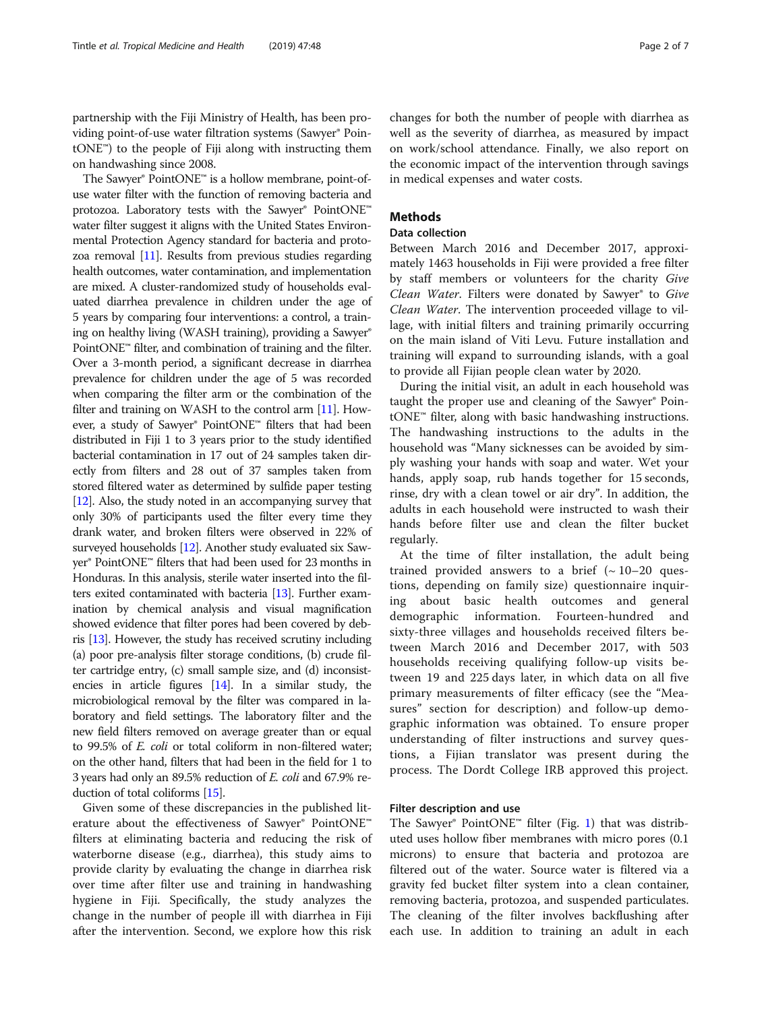partnership with the Fiji Ministry of Health, has been providing point-of-use water filtration systems (Sawyer® PointONE™) to the people of Fiji along with instructing them on handwashing since 2008.

The Sawyer® PointONE™ is a hollow membrane, point-ofuse water filter with the function of removing bacteria and protozoa. Laboratory tests with the Sawyer® PointONE™ water filter suggest it aligns with the United States Environmental Protection Agency standard for bacteria and protozoa removal [\[11\]](#page-6-0). Results from previous studies regarding health outcomes, water contamination, and implementation are mixed. A cluster-randomized study of households evaluated diarrhea prevalence in children under the age of 5 years by comparing four interventions: a control, a training on healthy living (WASH training), providing a Sawyer® PointONE<sup>™</sup> filter, and combination of training and the filter. Over a 3-month period, a significant decrease in diarrhea prevalence for children under the age of 5 was recorded when comparing the filter arm or the combination of the filter and training on WASH to the control arm [\[11](#page-6-0)]. However, a study of Sawyer® PointONE™ filters that had been distributed in Fiji 1 to 3 years prior to the study identified bacterial contamination in 17 out of 24 samples taken directly from filters and 28 out of 37 samples taken from stored filtered water as determined by sulfide paper testing [[12](#page-6-0)]. Also, the study noted in an accompanying survey that only 30% of participants used the filter every time they drank water, and broken filters were observed in 22% of surveyed households [\[12\]](#page-6-0). Another study evaluated six Sawyer® PointONE™ filters that had been used for 23 months in Honduras. In this analysis, sterile water inserted into the filters exited contaminated with bacteria [\[13\]](#page-6-0). Further examination by chemical analysis and visual magnification showed evidence that filter pores had been covered by debris [\[13\]](#page-6-0). However, the study has received scrutiny including (a) poor pre-analysis filter storage conditions, (b) crude filter cartridge entry, (c) small sample size, and (d) inconsistencies in article figures [\[14](#page-6-0)]. In a similar study, the microbiological removal by the filter was compared in laboratory and field settings. The laboratory filter and the new field filters removed on average greater than or equal to 99.5% of E. coli or total coliform in non-filtered water; on the other hand, filters that had been in the field for 1 to 3 years had only an 89.5% reduction of E. coli and 67.9% reduction of total coliforms [[15](#page-6-0)].

Given some of these discrepancies in the published literature about the effectiveness of Sawyer® PointONE™ filters at eliminating bacteria and reducing the risk of waterborne disease (e.g., diarrhea), this study aims to provide clarity by evaluating the change in diarrhea risk over time after filter use and training in handwashing hygiene in Fiji. Specifically, the study analyzes the change in the number of people ill with diarrhea in Fiji after the intervention. Second, we explore how this risk changes for both the number of people with diarrhea as well as the severity of diarrhea, as measured by impact on work/school attendance. Finally, we also report on the economic impact of the intervention through savings in medical expenses and water costs.

## **Methods**

#### Data collection

Between March 2016 and December 2017, approximately 1463 households in Fiji were provided a free filter by staff members or volunteers for the charity Give Clean Water. Filters were donated by Sawyer® to Give Clean Water. The intervention proceeded village to village, with initial filters and training primarily occurring on the main island of Viti Levu. Future installation and training will expand to surrounding islands, with a goal to provide all Fijian people clean water by 2020.

During the initial visit, an adult in each household was taught the proper use and cleaning of the Sawyer® PointONE™ filter, along with basic handwashing instructions. The handwashing instructions to the adults in the household was "Many sicknesses can be avoided by simply washing your hands with soap and water. Wet your hands, apply soap, rub hands together for 15 seconds, rinse, dry with a clean towel or air dry". In addition, the adults in each household were instructed to wash their hands before filter use and clean the filter bucket regularly.

At the time of filter installation, the adult being trained provided answers to a brief  $({\sim 10-20}$  questions, depending on family size) questionnaire inquiring about basic health outcomes and general demographic information. Fourteen-hundred and sixty-three villages and households received filters between March 2016 and December 2017, with 503 households receiving qualifying follow-up visits between 19 and 225 days later, in which data on all five primary measurements of filter efficacy (see the "Measures" section for description) and follow-up demographic information was obtained. To ensure proper understanding of filter instructions and survey questions, a Fijian translator was present during the process. The Dordt College IRB approved this project.

### Filter description and use

The Sawyer® PointONE™ filter (Fig. [1](#page-2-0)) that was distributed uses hollow fiber membranes with micro pores (0.1 microns) to ensure that bacteria and protozoa are filtered out of the water. Source water is filtered via a gravity fed bucket filter system into a clean container, removing bacteria, protozoa, and suspended particulates. The cleaning of the filter involves backflushing after each use. In addition to training an adult in each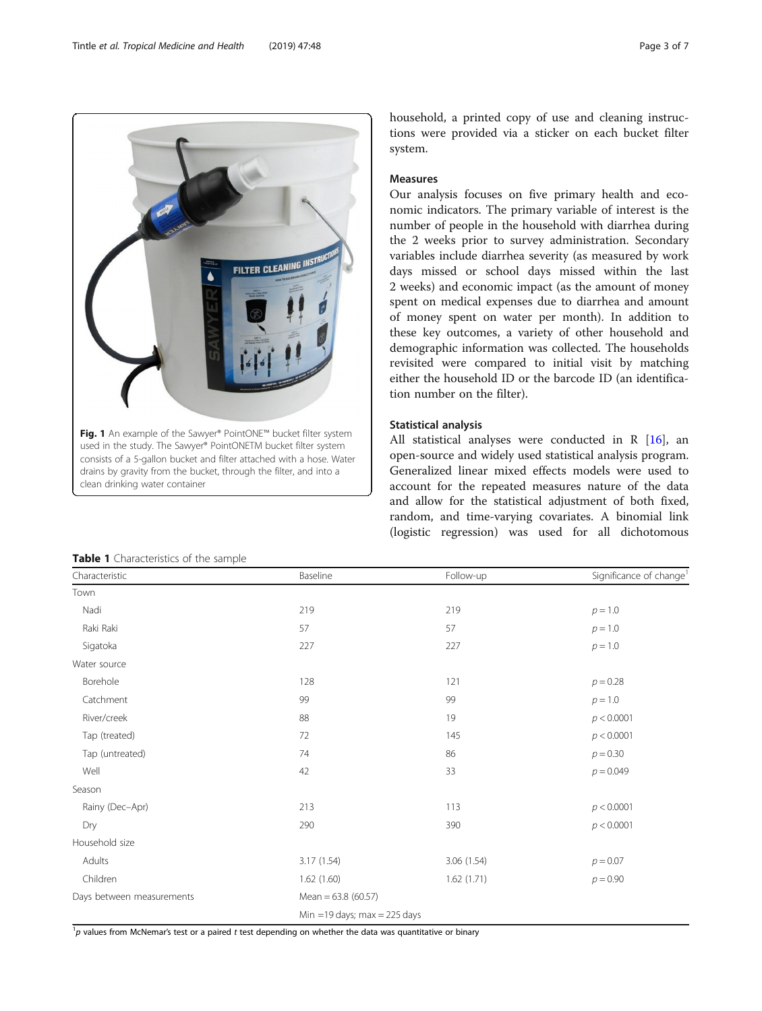consists of a 5-gallon bucket and filter attached with a hose. Water drains by gravity from the bucket, through the filter, and into a clean drinking water container

<span id="page-2-0"></span>FILTER CLEANING INST

Fig. 1 An example of the Sawyer® PointONE™ bucket filter system used in the study. The Sawyer® PointONETM bucket filter system

|  | <b>Table 1</b> Characteristics of the sample |  |  |
|--|----------------------------------------------|--|--|

| household, a printed copy of use and cleaning instruc-  |  |  |  |  |
|---------------------------------------------------------|--|--|--|--|
| tions were provided via a sticker on each bucket filter |  |  |  |  |
| system.                                                 |  |  |  |  |

## Measures

Our analysis focuses on five primary health and economic indicators. The primary variable of interest is the number of people in the household with diarrhea during the 2 weeks prior to survey administration. Secondary variables include diarrhea severity (as measured by work days missed or school days missed within the last 2 weeks) and economic impact (as the amount of money spent on medical expenses due to diarrhea and amount of money spent on water per month). In addition to these key outcomes, a variety of other household and demographic information was collected. The households revisited were compared to initial visit by matching either the household ID or the barcode ID (an identification number on the filter).

## Statistical analysis

All statistical analyses were conducted in R  $[16]$  $[16]$ , an open-source and widely used statistical analysis program. Generalized linear mixed effects models were used to account for the repeated measures nature of the data and allow for the statistical adjustment of both fixed, random, and time-varying covariates. A binomial link (logistic regression) was used for all dichotomous

| Town                      |                       |                                 |             |  |  |  |
|---------------------------|-----------------------|---------------------------------|-------------|--|--|--|
| Nadi                      | 219                   | 219                             | $p = 1.0$   |  |  |  |
| Raki Raki                 | 57                    | 57                              | $p = 1.0$   |  |  |  |
| Sigatoka                  | 227                   | 227                             | $p = 1.0$   |  |  |  |
| Water source              |                       |                                 |             |  |  |  |
| Borehole                  | 128                   | 121                             | $p = 0.28$  |  |  |  |
| Catchment                 | 99                    | 99                              | $p = 1.0$   |  |  |  |
| River/creek               | 88                    | 19                              | p < 0.0001  |  |  |  |
| Tap (treated)             | 72                    | 145                             | p < 0.0001  |  |  |  |
| Tap (untreated)           | 74                    | 86                              | $p = 0.30$  |  |  |  |
| Well                      | 42                    | 33                              | $p = 0.049$ |  |  |  |
| Season                    |                       |                                 |             |  |  |  |
| Rainy (Dec-Apr)           | 213                   | 113                             | p < 0.0001  |  |  |  |
| Dry                       | 290                   | 390                             | p < 0.0001  |  |  |  |
| Household size            |                       |                                 |             |  |  |  |
| Adults                    | 3.17 (1.54)           | 3.06 (1.54)                     | $p = 0.07$  |  |  |  |
| Children                  | 1.62(1.60)            | 1.62(1.71)                      | $p = 0.90$  |  |  |  |
| Days between measurements | Mean = $63.8$ (60.57) |                                 |             |  |  |  |
|                           |                       | Min = 19 days; $max = 225$ days |             |  |  |  |

Characteristic Change<sup>1</sup> Baseline Baseline Follow-up Significance of change<sup>1</sup>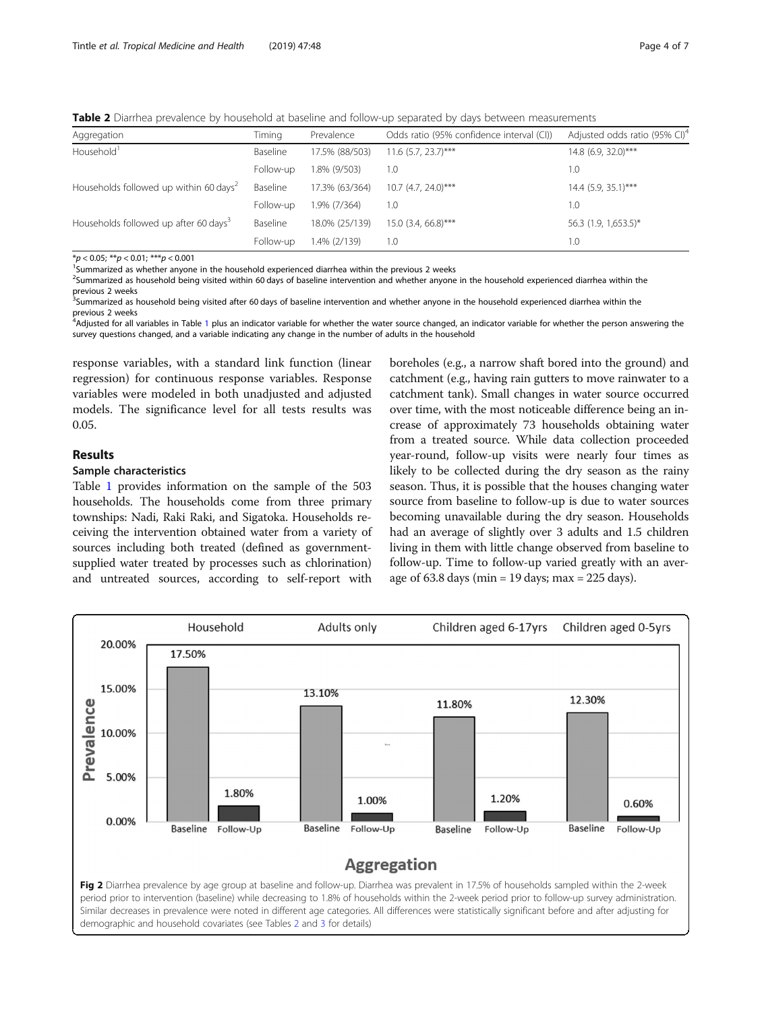<span id="page-3-0"></span>**Table 2** Diarrhea prevalence by household at baseline and follow-up separated by days between measurements

| Aggregation                                        | Timing    | Prevalence     | Odds ratio (95% confidence interval (CI)) | Adjusted odds ratio (95% CI) <sup>4</sup> |
|----------------------------------------------------|-----------|----------------|-------------------------------------------|-------------------------------------------|
| Household <sup>1</sup>                             | Baseline  | 17.5% (88/503) | $11.6$ (5.7, 23.7)***                     | 14.8 (6.9, 32.0)***                       |
|                                                    | Follow-up | 1.8% (9/503)   | 1.0                                       | 1.0                                       |
| Households followed up within 60 days <sup>2</sup> | Baseline  | 17.3% (63/364) | $10.7$ (4.7, 24.0)***                     | 14.4 (5.9, 35.1)***                       |
|                                                    | Follow-up | 1.9% (7/364)   | 1.0                                       | 1.0                                       |
| Households followed up after 60 days <sup>3</sup>  | Baseline  | 18.0% (25/139) | 15.0 (3.4, 66.8)***                       | 56.3 (1.9, 1,653.5)*                      |
|                                                    | Follow-up | 1.4% (2/139)   | 1.0                                       | 1.0                                       |
|                                                    |           |                |                                           |                                           |

 $*p < 0.05; **p < 0.01; **p < 0.001$ 

<sup>1</sup>Summarized as whether anyone in the household experienced diarrhea within the previous 2 weeks

<sup>2</sup>Summarized as household being visited within 60 days of baseline intervention and whether anyone in the household experienced diarrhea within the

previous 2 weeks<br><sup>3</sup>Summarized as household being visited after 60 days of baseline intervention and whether anyone in the household experienced diarrhea within the previous 2 weeks

<sup>4</sup>Adjusted for all variables in Table [1](#page-2-0) plus an indicator variable for whether the water source changed, an indicator variable for whether the person answering the survey questions changed, and a variable indicating any change in the number of adults in the household

response variables, with a standard link function (linear regression) for continuous response variables. Response variables were modeled in both unadjusted and adjusted models. The significance level for all tests results was 0.05.

## Results

#### Sample characteristics

Table [1](#page-2-0) provides information on the sample of the 503 households. The households come from three primary townships: Nadi, Raki Raki, and Sigatoka. Households receiving the intervention obtained water from a variety of sources including both treated (defined as governmentsupplied water treated by processes such as chlorination) and untreated sources, according to self-report with

boreholes (e.g., a narrow shaft bored into the ground) and catchment (e.g., having rain gutters to move rainwater to a catchment tank). Small changes in water source occurred over time, with the most noticeable difference being an increase of approximately 73 households obtaining water from a treated source. While data collection proceeded year-round, follow-up visits were nearly four times as likely to be collected during the dry season as the rainy season. Thus, it is possible that the houses changing water source from baseline to follow-up is due to water sources becoming unavailable during the dry season. Households had an average of slightly over 3 adults and 1.5 children living in them with little change observed from baseline to follow-up. Time to follow-up varied greatly with an average of  $63.8$  days (min = 19 days; max =  $225$  days).

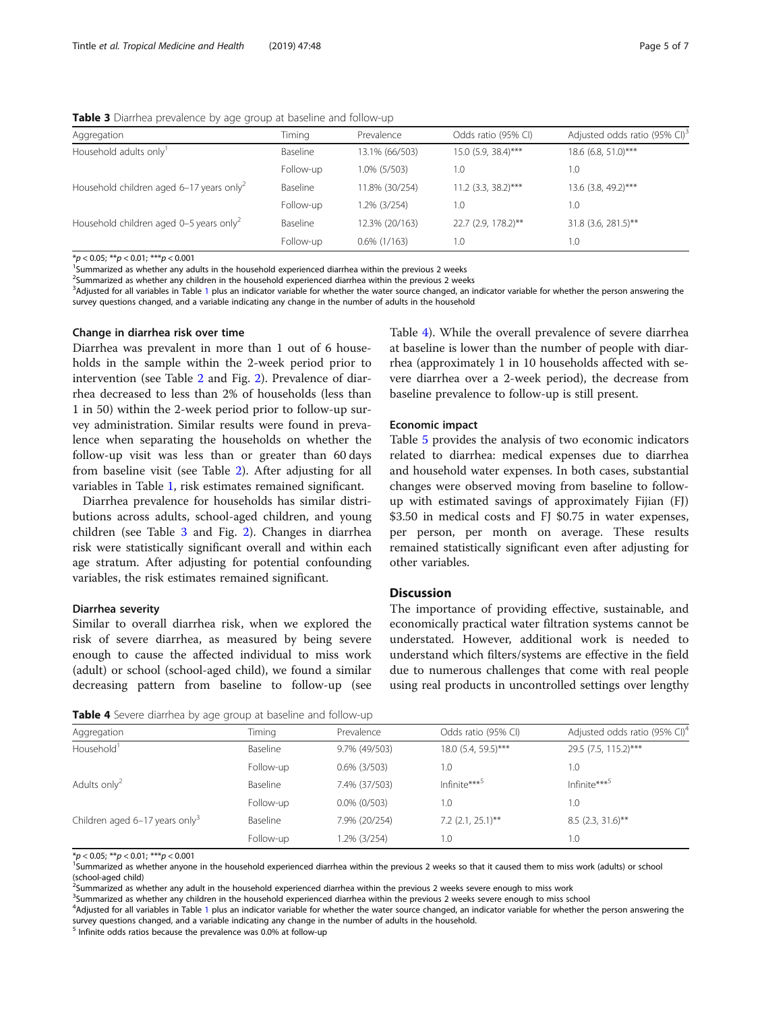<span id="page-4-0"></span>Table 3 Diarrhea prevalence by age group at baseline and follow-up

| Aggregation                                          | Timina    | Prevalence      | Odds ratio (95% CI)   | Adjusted odds ratio (95% CI) <sup>3</sup> |
|------------------------------------------------------|-----------|-----------------|-----------------------|-------------------------------------------|
| Household adults only <sup>1</sup>                   | Baseline  | 13.1% (66/503)  | $15.0$ (5.9, 38.4)*** | 18.6 (6.8, 51.0)***                       |
|                                                      | Follow-up | 1.0% (5/503)    | 1.0                   | 1.0                                       |
| Household children aged 6-17 years only <sup>2</sup> | Baseline  | 11.8% (30/254)  | $11.2$ (3.3, 38.2)*** | 13.6 (3.8, 49.2)***                       |
|                                                      | Follow-up | 1.2% (3/254)    | 1.0                   | 1.0                                       |
| Household children aged 0-5 years only <sup>2</sup>  | Baseline  | 12.3% (20/163)  | 22.7 (2.9, 178.2)**   | 31.8 (3.6, 281.5)**                       |
|                                                      | Follow-up | $0.6\%$ (1/163) | 0.1                   | 1.0                                       |

 $*p < 0.05;$   $**p < 0.01;$   $***p < 0.001$ 

<sup>1</sup>Summarized as whether any adults in the household experienced diarrhea within the previous 2 weeks

<sup>2</sup>Summarized as whether any children in the household experienced diarrhea within the previous 2 weeks

3 Adjusted for all variables in Table [1](#page-2-0) plus an indicator variable for whether the water source changed, an indicator variable for whether the person answering the survey questions changed, and a variable indicating any change in the number of adults in the household

#### Change in diarrhea risk over time

Diarrhea was prevalent in more than 1 out of 6 households in the sample within the 2-week period prior to intervention (see Table [2](#page-3-0) and Fig. [2\)](#page-3-0). Prevalence of diarrhea decreased to less than 2% of households (less than 1 in 50) within the 2-week period prior to follow-up survey administration. Similar results were found in prevalence when separating the households on whether the follow-up visit was less than or greater than 60 days from baseline visit (see Table [2](#page-3-0)). After adjusting for all variables in Table [1,](#page-2-0) risk estimates remained significant.

Diarrhea prevalence for households has similar distributions across adults, school-aged children, and young children (see Table 3 and Fig. [2\)](#page-3-0). Changes in diarrhea risk were statistically significant overall and within each age stratum. After adjusting for potential confounding variables, the risk estimates remained significant.

#### Diarrhea severity

Similar to overall diarrhea risk, when we explored the risk of severe diarrhea, as measured by being severe enough to cause the affected individual to miss work (adult) or school (school-aged child), we found a similar decreasing pattern from baseline to follow-up (see

| Table 4). While the overall prevalence of severe diarrhea |
|-----------------------------------------------------------|
| at baseline is lower than the number of people with diar- |
| rhea (approximately 1 in 10 households affected with se-  |
| vere diarrhea over a 2-week period), the decrease from    |
| baseline prevalence to follow-up is still present.        |

#### Economic impact

Table [5](#page-5-0) provides the analysis of two economic indicators related to diarrhea: medical expenses due to diarrhea and household water expenses. In both cases, substantial changes were observed moving from baseline to followup with estimated savings of approximately Fijian (FJ) \$3.50 in medical costs and FJ \$0.75 in water expenses, per person, per month on average. These results remained statistically significant even after adjusting for other variables.

#### **Discussion**

The importance of providing effective, sustainable, and economically practical water filtration systems cannot be understated. However, additional work is needed to understand which filters/systems are effective in the field due to numerous challenges that come with real people using real products in uncontrolled settings over lengthy

| Table 4 Severe diarrhea by age group at baseline and follow-up |  |
|----------------------------------------------------------------|--|
|----------------------------------------------------------------|--|

| Aggregation                                  | Timina    | Prevalence      | Odds ratio (95% CI) | Adjusted odds ratio (95% CI) <sup>4</sup> |
|----------------------------------------------|-----------|-----------------|---------------------|-------------------------------------------|
| Household <sup>1</sup>                       | Baseline  | 9.7% (49/503)   | 18.0 (5.4, 59.5)*** | 29.5 (7.5, 115.2)***                      |
|                                              | Follow-up | $0.6\%$ (3/503) | 1.0                 | 1.0                                       |
| Adults only <sup>2</sup>                     | Baseline  | 7.4% (37/503)   | Infinite $***^5$    | Infinite*** <sup>5</sup>                  |
|                                              | Follow-up | $0.0\%$ (0/503) | 1.0                 | 1.0                                       |
| Children aged $6-17$ years only <sup>3</sup> | Baseline  | 7.9% (20/254)   | $7.2$ (2.1, 25.1)** | $8.5$ (2.3, 31.6)**                       |
|                                              | Follow-up | 1.2% (3/254)    | 1.0                 | 1.0                                       |

 $*_p$  < 0.05;  $_{*p}$  < 0.01;  $_{*p}$  < 0.001

<sup>1</sup>Summarized as whether anyone in the household experienced diarrhea within the previous 2 weeks so that it caused them to miss work (adults) or school (school-aged child)

<sup>2</sup>Summarized as whether any adult in the household experienced diarrhea within the previous 2 weeks severe enough to miss work

<sup>3</sup>Summarized as whether any children in the household experienced diarrhea within the previous 2 weeks severe enough to miss school

4 Adjusted for all variables in Table [1](#page-2-0) plus an indicator variable for whether the water source changed, an indicator variable for whether the person answering the survey questions changed, and a variable indicating any change in the number of adults in the household.

<sup>5</sup> Infinite odds ratios because the prevalence was 0.0% at follow-up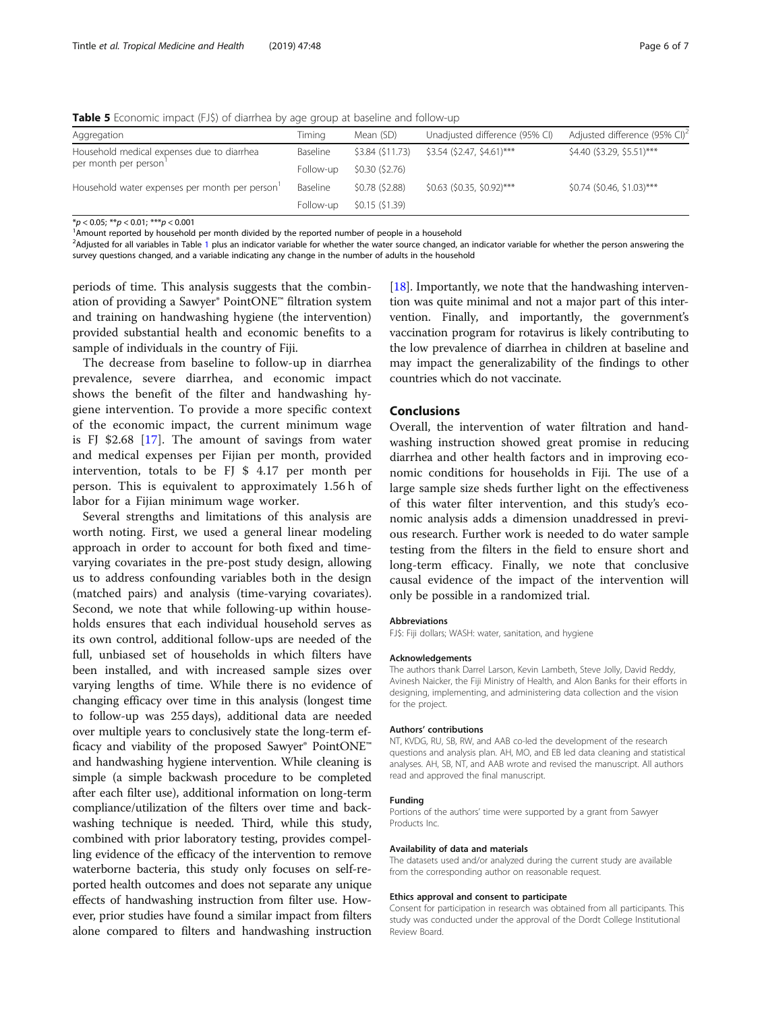<span id="page-5-0"></span>Table 5 Economic impact (FJ\$) of diarrhea by age group at baseline and follow-up

| Aggregation                                   | Timing    | Mean (SD)        | Unadjusted difference (95% CI) | Adjusted difference (95% CI) <sup>2</sup> |
|-----------------------------------------------|-----------|------------------|--------------------------------|-------------------------------------------|
| Household medical expenses due to diarrhea    | Baseline  | \$3.84 (\$11.73) | \$3.54 (\$2.47, \$4.61)***     | \$4.40 (\$3.29, \$5.51)***                |
| per month per person'                         | Follow-up | \$0.30 (\$2.76)  |                                |                                           |
| Household water expenses per month per person | Baseline  | \$0.78 (\$2.88)  | $$0.63$ (\$0.35, \$0.92)***    | $$0.74$ (\$0.46, \$1.03)***               |
|                                               | Follow-up | \$0.15 (\$1.39)  |                                |                                           |

 $*_\mathcal{P}$  < 0.05;  $^{**}\mathcal{P}$  < 0.01;  $^{***}\mathcal{P}$  < 0.001<br><sup>1</sup>Amount reported by household per month divided by the reported number of people in a household

<sup>2</sup>Adjusted for all variables in Table [1](#page-2-0) plus an indicator variable for whether the water source changed, an indicator variable for whether the person answering the survey questions changed, and a variable indicating any change in the number of adults in the household

periods of time. This analysis suggests that the combination of providing a Sawyer® PointONE™ filtration system and training on handwashing hygiene (the intervention) provided substantial health and economic benefits to a sample of individuals in the country of Fiji.

The decrease from baseline to follow-up in diarrhea prevalence, severe diarrhea, and economic impact shows the benefit of the filter and handwashing hygiene intervention. To provide a more specific context of the economic impact, the current minimum wage is FJ \$2.68 [\[17](#page-6-0)]. The amount of savings from water and medical expenses per Fijian per month, provided intervention, totals to be FJ \$ 4.17 per month per person. This is equivalent to approximately 1.56 h of labor for a Fijian minimum wage worker.

Several strengths and limitations of this analysis are worth noting. First, we used a general linear modeling approach in order to account for both fixed and timevarying covariates in the pre-post study design, allowing us to address confounding variables both in the design (matched pairs) and analysis (time-varying covariates). Second, we note that while following-up within households ensures that each individual household serves as its own control, additional follow-ups are needed of the full, unbiased set of households in which filters have been installed, and with increased sample sizes over varying lengths of time. While there is no evidence of changing efficacy over time in this analysis (longest time to follow-up was 255 days), additional data are needed over multiple years to conclusively state the long-term efficacy and viability of the proposed Sawyer® PointONE™ and handwashing hygiene intervention. While cleaning is simple (a simple backwash procedure to be completed after each filter use), additional information on long-term compliance/utilization of the filters over time and backwashing technique is needed. Third, while this study, combined with prior laboratory testing, provides compelling evidence of the efficacy of the intervention to remove waterborne bacteria, this study only focuses on self-reported health outcomes and does not separate any unique effects of handwashing instruction from filter use. However, prior studies have found a similar impact from filters alone compared to filters and handwashing instruction

[[18](#page-6-0)]. Importantly, we note that the handwashing intervention was quite minimal and not a major part of this intervention. Finally, and importantly, the government's vaccination program for rotavirus is likely contributing to the low prevalence of diarrhea in children at baseline and may impact the generalizability of the findings to other countries which do not vaccinate.

#### Conclusions

Overall, the intervention of water filtration and handwashing instruction showed great promise in reducing diarrhea and other health factors and in improving economic conditions for households in Fiji. The use of a large sample size sheds further light on the effectiveness of this water filter intervention, and this study's economic analysis adds a dimension unaddressed in previous research. Further work is needed to do water sample testing from the filters in the field to ensure short and long-term efficacy. Finally, we note that conclusive causal evidence of the impact of the intervention will only be possible in a randomized trial.

#### Abbreviations

FJ\$: Fiji dollars; WASH: water, sanitation, and hygiene

#### Acknowledgements

The authors thank Darrel Larson, Kevin Lambeth, Steve Jolly, David Reddy, Avinesh Naicker, the Fiji Ministry of Health, and Alon Banks for their efforts in designing, implementing, and administering data collection and the vision for the project.

#### Authors' contributions

NT, KVDG, RU, SB, RW, and AAB co-led the development of the research questions and analysis plan. AH, MO, and EB led data cleaning and statistical analyses. AH, SB, NT, and AAB wrote and revised the manuscript. All authors read and approved the final manuscript.

#### Funding

Portions of the authors' time were supported by a grant from Sawyer Products Inc.

#### Availability of data and materials

The datasets used and/or analyzed during the current study are available from the corresponding author on reasonable request.

#### Ethics approval and consent to participate

Consent for participation in research was obtained from all participants. This study was conducted under the approval of the Dordt College Institutional Review Board.